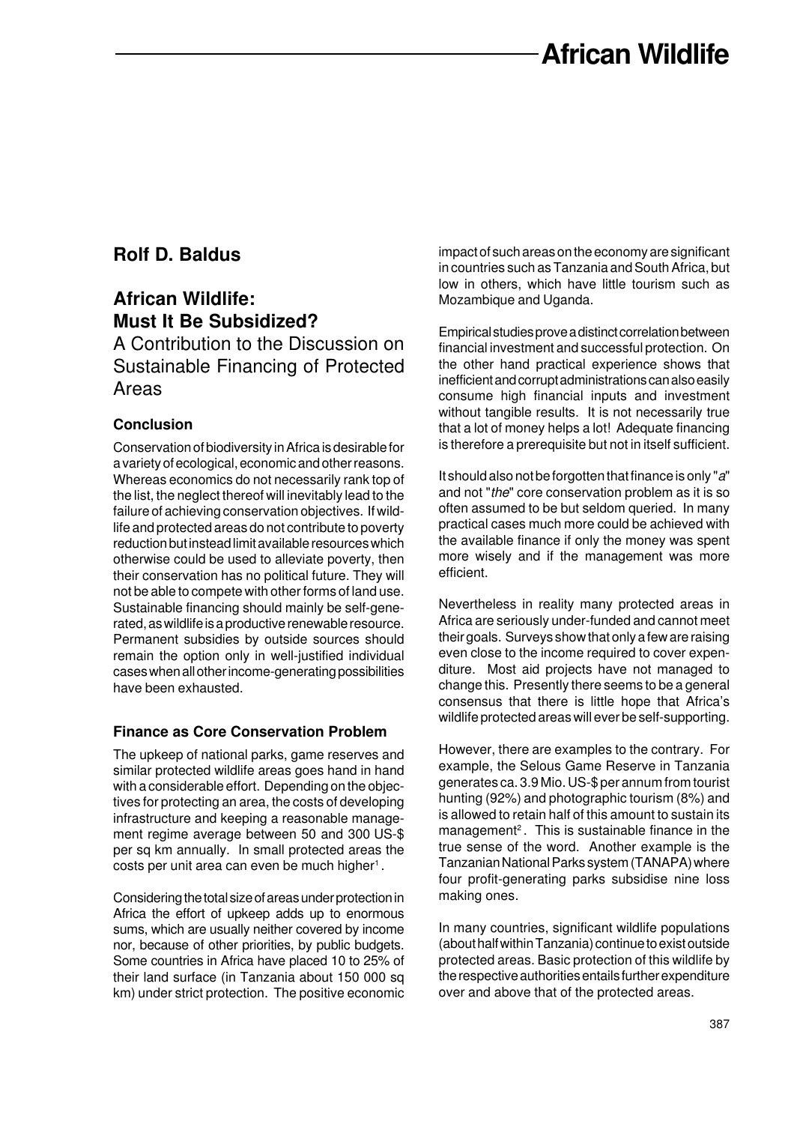# **Rolf D. Baldus**

## **African Wildlife: Must It Be Subsidized?**

A Contribution to the Discussion on Sustainable Financing of Protected Areas

## **Conclusion**

Conservation of biodiversity in Africa is desirable for a variety of ecological, economic and other reasons. Whereas economics do not necessarily rank top of the list, the neglect thereof will inevitably lead to the failure of achieving conservation objectives. If wildlife and protected areas do not contribute to poverty reduction but instead limit available resources which otherwise could be used to alleviate poverty, then their conservation has no political future. They will not be able to compete with other forms of land use. Sustainable financing should mainly be self-generated, as wildlife is a productive renewable resource. Permanent subsidies by outside sources should remain the option only in well-justified individual cases when all other income-generating possibilities have been exhausted.

### **Finance as Core Conservation Problem**

The upkeep of national parks, game reserves and similar protected wildlife areas goes hand in hand with a considerable effort. Depending on the objectives for protecting an area, the costs of developing infrastructure and keeping a reasonable management regime average between 50 and 300 US-\$ per sq km annually. In small protected areas the costs per unit area can even be much higher<sup>1</sup>.

Considering the total size of areas under protection in Africa the effort of upkeep adds up to enormous sums, which are usually neither covered by income nor, because of other priorities, by public budgets. Some countries in Africa have placed 10 to 25% of their land surface (in Tanzania about 150 000 sq km) under strict protection. The positive economic impact of such areas on the economy are significant in countries such as Tanzania and South Africa, but low in others, which have little tourism such as Mozambique and Uganda.

Empirical studies prove a distinct correlation between financial investment and successful protection. On the other hand practical experience shows that inefficient and corrupt administrations can also easily consume high financial inputs and investment without tangible results. It is not necessarily true that a lot of money helps a lot! Adequate financing is therefore a prerequisite but not in itself sufficient.

It should also not be forgotten that finance is only "a" and not "the" core conservation problem as it is so often assumed to be but seldom queried. In many practical cases much more could be achieved with the available finance if only the money was spent more wisely and if the management was more efficient.

Nevertheless in reality many protected areas in Africa are seriously under-funded and cannot meet their goals. Surveys show that only a few are raising even close to the income required to cover expenditure. Most aid projects have not managed to change this. Presently there seems to be a general consensus that there is little hope that Africa's wildlife protected areas will ever be self-supporting.

However, there are examples to the contrary. For example, the Selous Game Reserve in Tanzania generates ca. 3.9 Mio. US-\$ per annum from tourist hunting (92%) and photographic tourism (8%) and is allowed to retain half of this amount to sustain its management<sup>2</sup>. This is sustainable finance in the true sense of the word. Another example is the Tanzanian National Parks system (TANAPA) where four profit-generating parks subsidise nine loss making ones.

In many countries, significant wildlife populations (about half within Tanzania) continue to exist outside protected areas. Basic protection of this wildlife by the respective authorities entails further expenditure over and above that of the protected areas.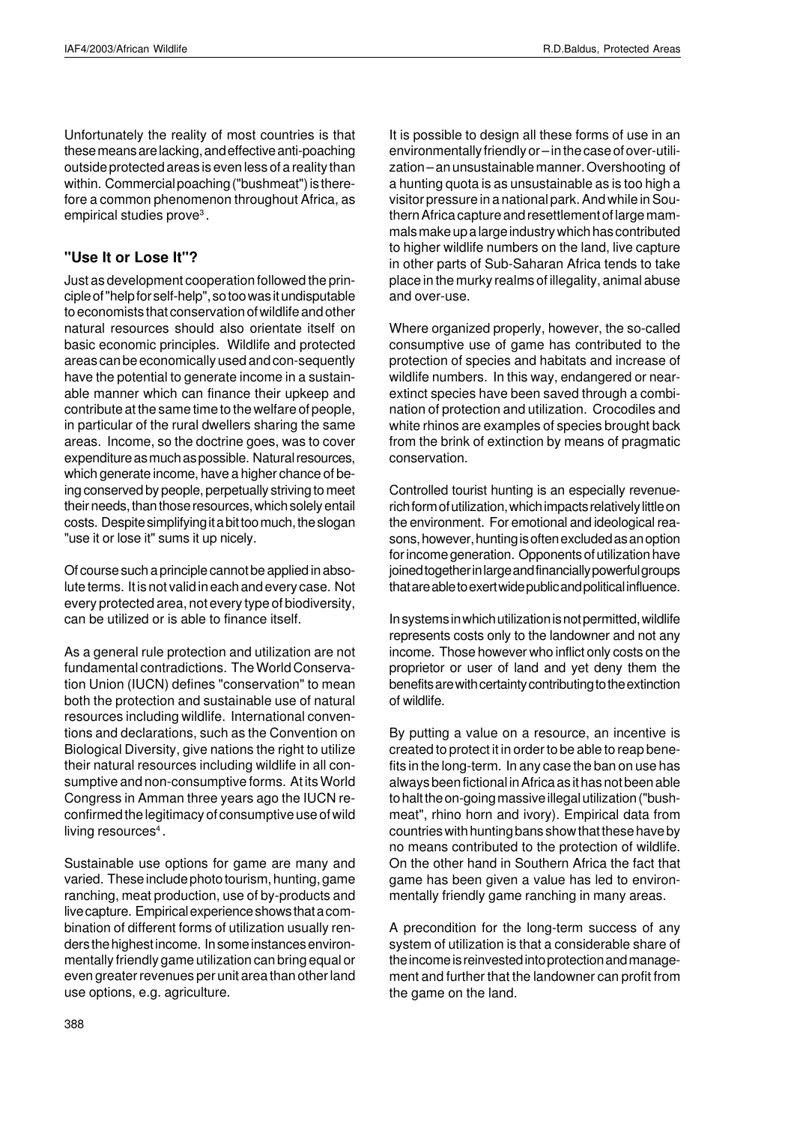Unfortunately the reality of most countries is that these means are lacking, and effective anti-poaching outside protected areas is even less of a reality than within. Commercial poaching ("bushmeat") is therefore a common phenomenon throughout Africa, as empirical studies prove $^{\rm 3}$  .

#### **"Use It or Lose It"?**

Just as development cooperation followed the principle of "help for self-help", so too was it undisputable to economists that conservation of wildlife and other natural resources should also orientate itself on basic economic principles. Wildlife and protected areas can be economically used and con-sequently have the potential to generate income in a sustainable manner which can finance their upkeep and contribute at the same time to the welfare of people, in particular of the rural dwellers sharing the same areas. Income, so the doctrine goes, was to cover expenditure as much as possible. Natural resources, which generate income, have a higher chance of being conserved by people, perpetually striving to meet their needs, than those resources, which solely entail costs. Despite simplifying it a bit too much, the slogan "use it or lose it" sums it up nicely.

Of course such a principle cannot be applied in absolute terms. It is not valid in each and every case. Not every protected area, not every type of biodiversity, can be utilized or is able to finance itself.

As a general rule protection and utilization are not fundamental contradictions. The World Conservation Union (IUCN) defines "conservation" to mean both the protection and sustainable use of natural resources including wildlife. International conventions and declarations, such as the Convention on Biological Diversity, give nations the right to utilize their natural resources including wildlife in all consumptive and non-consumptive forms. At its World Congress in Amman three years ago the IUCN reconfirmed the legitimacy of consumptive use of wild living resources<sup>4</sup>.

Sustainable use options for game are many and varied. These include photo tourism, hunting, game ranching, meat production, use of by-products and live capture. Empirical experience shows that a combination of different forms of utilization usually renders the highest income. In some instances environmentally friendly game utilization can bring equal or even greater revenues per unit area than other land use options, e.g. agriculture.

It is possible to design all these forms of use in an environmentally friendly or – in the case of over-utilization – an unsustainable manner. Overshooting of a hunting quota is as unsustainable as is too high a visitor pressure in a national park. And while in Southern Africa capture and resettlement of large mammals make up a large industry which has contributed to higher wildlife numbers on the land, live capture in other parts of Sub-Saharan Africa tends to take place in the murky realms of illegality, animal abuse and over-use.

Where organized properly, however, the so-called consumptive use of game has contributed to the protection of species and habitats and increase of wildlife numbers. In this way, endangered or nearextinct species have been saved through a combination of protection and utilization. Crocodiles and white rhinos are examples of species brought back from the brink of extinction by means of pragmatic conservation.

Controlled tourist hunting is an especially revenuerich form of utilization, which impacts relatively little on the environment. For emotional and ideological reasons, however, hunting is often excluded as an option for income generation. Opponents of utilization have joined together in large and financially powerful groups that are able to exert wide public and political influence.

In systems in which utilization is not permitted, wildlife represents costs only to the landowner and not any income. Those however who inflict only costs on the proprietor or user of land and yet deny them the benefits are with certainty contributing to the extinction of wildlife.

By putting a value on a resource, an incentive is created to protect it in order to be able to reap benefits in the long-term. In any case the ban on use has always been fictional in Africa as it has not been able to halt the on-going massive illegal utilization ("bushmeat", rhino horn and ivory). Empirical data from countries with hunting bans show that these have by no means contributed to the protection of wildlife. On the other hand in Southern Africa the fact that game has been given a value has led to environmentally friendly game ranching in many areas.

A precondition for the long-term success of any system of utilization is that a considerable share of the income is reinvested into protection and management and further that the landowner can profit from the game on the land.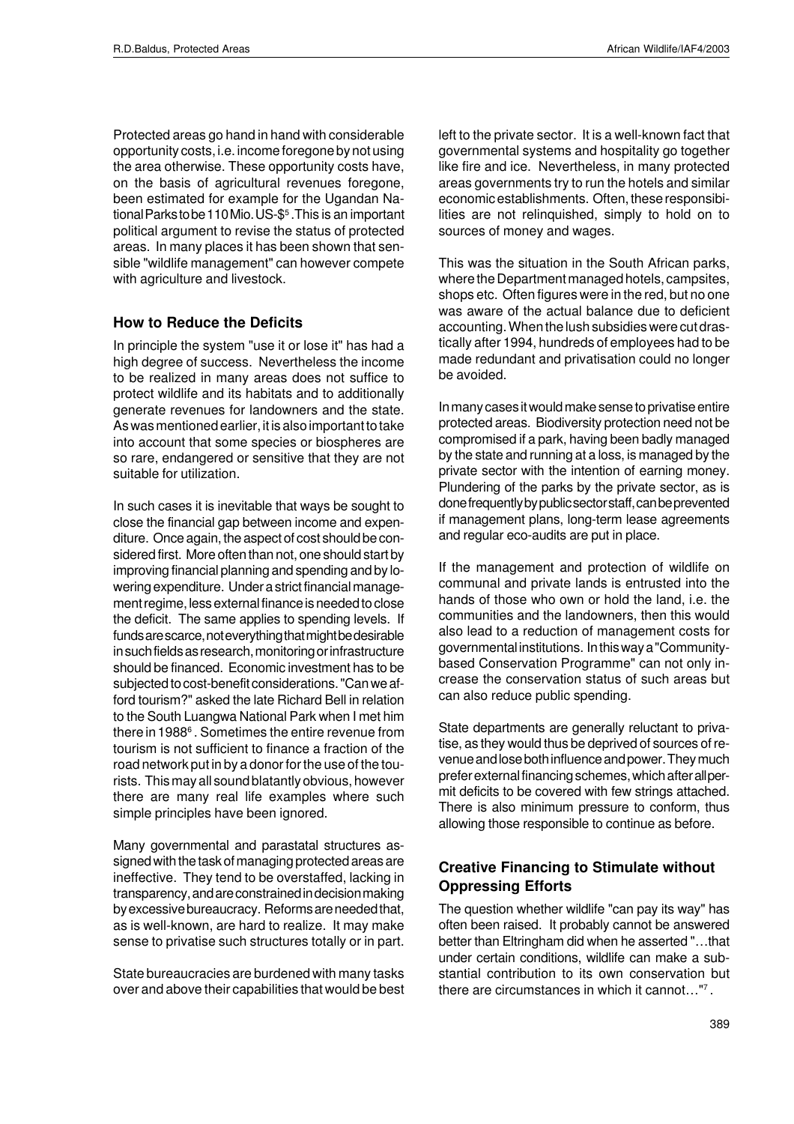Protected areas go hand in hand with considerable opportunity costs, i.e. income foregone by not using the area otherwise. These opportunity costs have, on the basis of agricultural revenues foregone, been estimated for example for the Ugandan National Parks to be 110 Mio. US-\$<sup>5</sup> .This is an important political argument to revise the status of protected areas. In many places it has been shown that sensible "wildlife management" can however compete with agriculture and livestock.

#### **How to Reduce the Deficits**

In principle the system "use it or lose it" has had a high degree of success. Nevertheless the income to be realized in many areas does not suffice to protect wildlife and its habitats and to additionally generate revenues for landowners and the state. As was mentioned earlier, it is also important to take into account that some species or biospheres are so rare, endangered or sensitive that they are not suitable for utilization.

In such cases it is inevitable that ways be sought to close the financial gap between income and expenditure. Once again, the aspect of cost should be considered first. More often than not, one should start by improving financial planning and spending and by lowering expenditure. Under a strict financial management regime, less external finance is needed to close the deficit. The same applies to spending levels. If funds are scarce, not everything that might be desirable in such fields as research, monitoring or infrastructure should be financed. Economic investment has to be subjected to cost-benefit considerations. "Can we afford tourism?" asked the late Richard Bell in relation to the South Luangwa National Park when I met him there in 1988 $^{\rm 6}$  . Sometimes the entire revenue from tourism is not sufficient to finance a fraction of the road network put in by a donor for the use of the tourists. This may all sound blatantly obvious, however there are many real life examples where such simple principles have been ignored.

Many governmental and parastatal structures assigned with the task of managing protected areas are ineffective. They tend to be overstaffed, lacking in transparency, and are constrained in decision making by excessive bureaucracy. Reforms are needed that, as is well-known, are hard to realize. It may make sense to privatise such structures totally or in part.

State bureaucracies are burdened with many tasks over and above their capabilities that would be best

left to the private sector. It is a well-known fact that governmental systems and hospitality go together like fire and ice. Nevertheless, in many protected areas governments try to run the hotels and similar economic establishments. Often, these responsibilities are not relinquished, simply to hold on to sources of money and wages.

This was the situation in the South African parks, where the Department managed hotels, campsites, shops etc. Often figures were in the red, but no one was aware of the actual balance due to deficient accounting. When the lush subsidies were cut drastically after 1994, hundreds of employees had to be made redundant and privatisation could no longer be avoided.

In many cases it would make sense to privatise entire protected areas. Biodiversity protection need not be compromised if a park, having been badly managed by the state and running at a loss, is managed by the private sector with the intention of earning money. Plundering of the parks by the private sector, as is done frequently by public sector staff, can be prevented if management plans, long-term lease agreements and regular eco-audits are put in place.

If the management and protection of wildlife on communal and private lands is entrusted into the hands of those who own or hold the land, i.e. the communities and the landowners, then this would also lead to a reduction of management costs for governmental institutions. In this way a "Communitybased Conservation Programme" can not only increase the conservation status of such areas but can also reduce public spending.

State departments are generally reluctant to privatise, as they would thus be deprived of sources of revenue and lose both influence and power. They much prefer external financing schemes, which after all permit deficits to be covered with few strings attached. There is also minimum pressure to conform, thus allowing those responsible to continue as before.

#### **Creative Financing to Stimulate without Oppressing Efforts**

The question whether wildlife "can pay its way" has often been raised. It probably cannot be answered better than Eltringham did when he asserted "…that under certain conditions, wildlife can make a substantial contribution to its own conservation but there are circumstances in which it cannot…"<sup>7</sup> .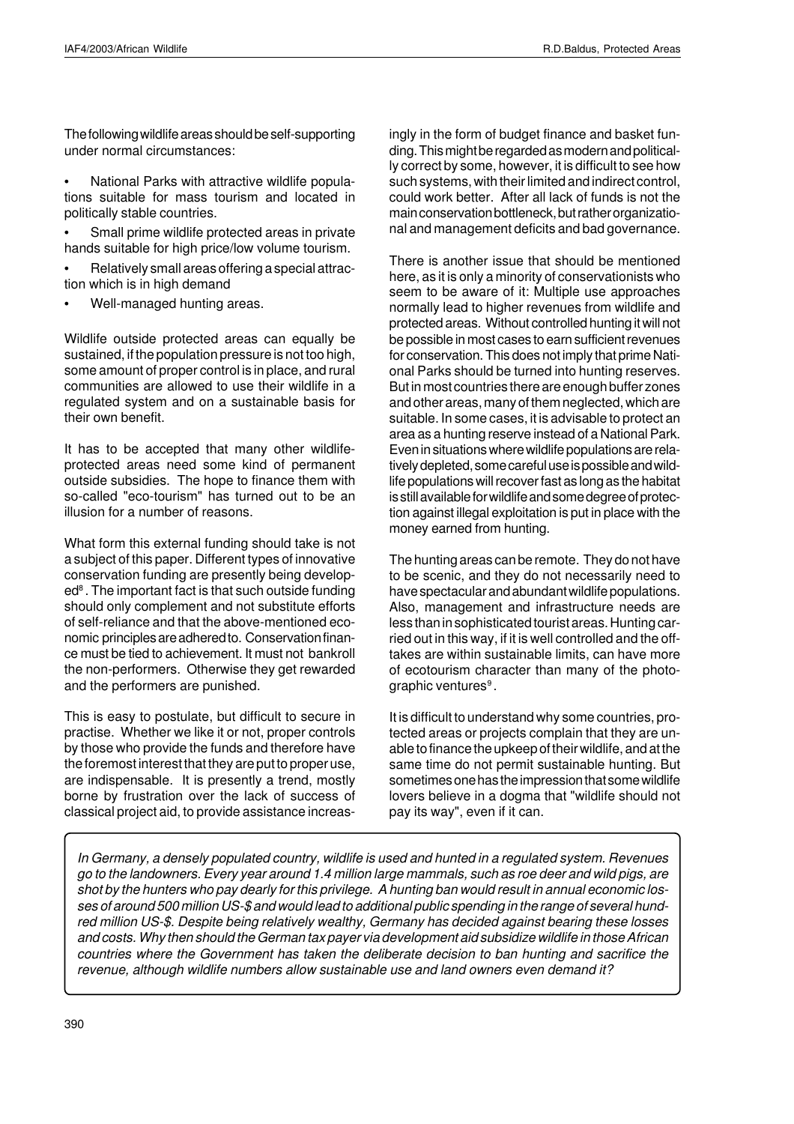The following wildlife areas should be self-supporting under normal circumstances:

• National Parks with attractive wildlife populations suitable for mass tourism and located in politically stable countries.

Small prime wildlife protected areas in private hands suitable for high price/low volume tourism.

• Relatively small areas offering a special attraction which is in high demand

Well-managed hunting areas.

Wildlife outside protected areas can equally be sustained, if the population pressure is not too high, some amount of proper control is in place, and rural communities are allowed to use their wildlife in a regulated system and on a sustainable basis for their own benefit.

It has to be accepted that many other wildlifeprotected areas need some kind of permanent outside subsidies. The hope to finance them with so-called "eco-tourism" has turned out to be an illusion for a number of reasons.

What form this external funding should take is not a subject of this paper. Different types of innovative conservation funding are presently being developed<sup>8</sup> . The important fact is that such outside funding should only complement and not substitute efforts of self-reliance and that the above-mentioned economic principles are adhered to. Conservation finance must be tied to achievement. It must not bankroll the non-performers. Otherwise they get rewarded and the performers are punished.

This is easy to postulate, but difficult to secure in practise. Whether we like it or not, proper controls by those who provide the funds and therefore have the foremost interest that they are put to proper use, are indispensable. It is presently a trend, mostly borne by frustration over the lack of success of classical project aid, to provide assistance increasingly in the form of budget finance and basket funding. This might be regarded as modern and politically correct by some, however, it is difficult to see how such systems, with their limited and indirect control, could work better. After all lack of funds is not the main conservation bottleneck, but rather organizational and management deficits and bad governance.

There is another issue that should be mentioned here, as it is only a minority of conservationists who seem to be aware of it: Multiple use approaches normally lead to higher revenues from wildlife and protected areas. Without controlled hunting it will not be possible in most cases to earn sufficient revenues for conservation. This does not imply that prime National Parks should be turned into hunting reserves. But in most countries there are enough buffer zones and other areas, many of them neglected, which are suitable. In some cases, it is advisable to protect an area as a hunting reserve instead of a National Park. Even in situations where wildlife populations are relatively depleted, some careful use is possible and wildlife populations will recover fast as long as the habitat is still available for wildlife and some degree of protection against illegal exploitation is put in place with the money earned from hunting.

The hunting areas can be remote. They do not have to be scenic, and they do not necessarily need to have spectacular and abundant wildlife populations. Also, management and infrastructure needs are less than in sophisticated tourist areas. Hunting carried out in this way, if it is well controlled and the offtakes are within sustainable limits, can have more of ecotourism character than many of the photographic ventures<sup>9</sup>.

It is difficult to understand why some countries, protected areas or projects complain that they are unable to finance the upkeep of their wildlife, and at the same time do not permit sustainable hunting. But sometimes one has the impression that some wildlife lovers believe in a dogma that "wildlife should not pay its way", even if it can.

In Germany, a densely populated country, wildlife is used and hunted in a regulated system. Revenues go to the landowners. Every year around 1.4 million large mammals, such as roe deer and wild pigs, are shot by the hunters who pay dearly for this privilege. A hunting ban would result in annual economic losses of around 500 million US-\$ and would lead to additional public spending in the range of several hundred million US-\$. Despite being relatively wealthy, Germany has decided against bearing these losses and costs. Why then should the German tax payer via development aid subsidize wildlife in those African countries where the Government has taken the deliberate decision to ban hunting and sacrifice the revenue, although wildlife numbers allow sustainable use and land owners even demand it?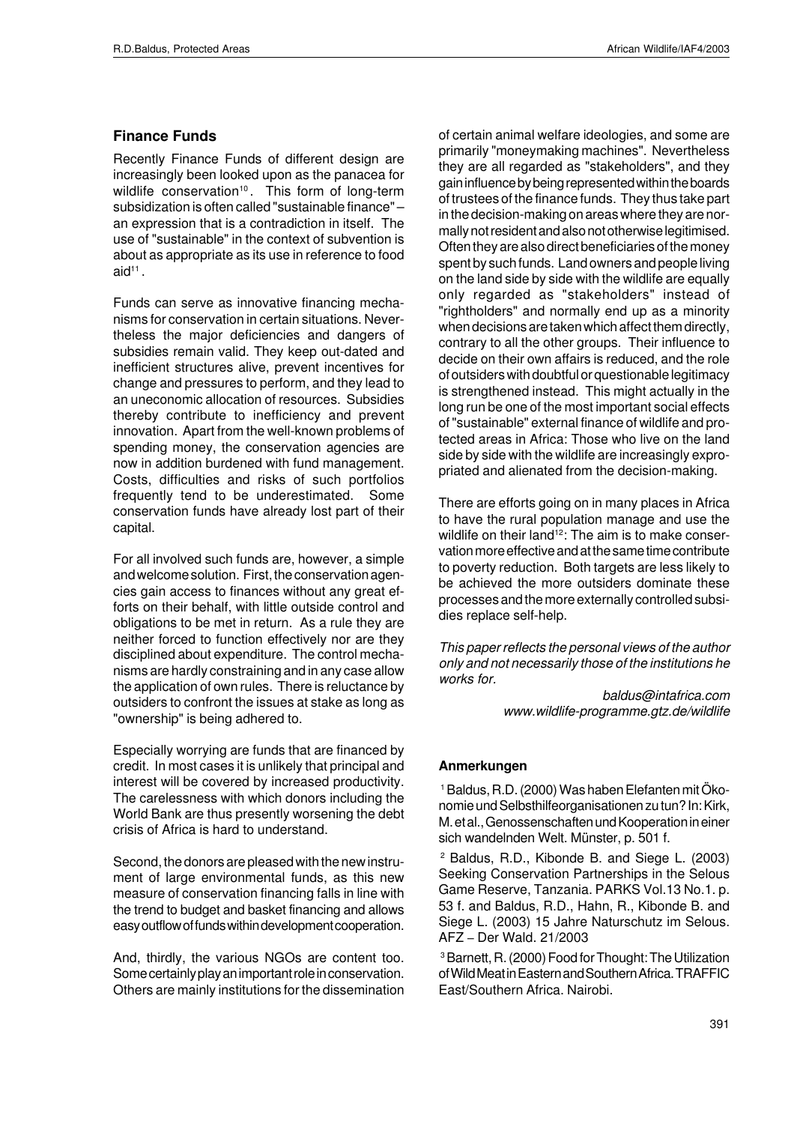#### **Finance Funds**

Recently Finance Funds of different design are increasingly been looked upon as the panacea for wildlife conservation<sup>10</sup>. This form of long-term subsidization is often called "sustainable finance" – an expression that is a contradiction in itself. The use of "sustainable" in the context of subvention is about as appropriate as its use in reference to food  $\mathsf{aid}^{11}$  .

Funds can serve as innovative financing mechanisms for conservation in certain situations. Nevertheless the major deficiencies and dangers of subsidies remain valid. They keep out-dated and inefficient structures alive, prevent incentives for change and pressures to perform, and they lead to an uneconomic allocation of resources. Subsidies thereby contribute to inefficiency and prevent innovation. Apart from the well-known problems of spending money, the conservation agencies are now in addition burdened with fund management. Costs, difficulties and risks of such portfolios frequently tend to be underestimated. Some conservation funds have already lost part of their capital.

For all involved such funds are, however, a simple and welcome solution. First, the conservation agencies gain access to finances without any great efforts on their behalf, with little outside control and obligations to be met in return. As a rule they are neither forced to function effectively nor are they disciplined about expenditure. The control mechanisms are hardly constraining and in any case allow the application of own rules. There is reluctance by outsiders to confront the issues at stake as long as "ownership" is being adhered to.

Especially worrying are funds that are financed by credit. In most cases it is unlikely that principal and interest will be covered by increased productivity. The carelessness with which donors including the World Bank are thus presently worsening the debt crisis of Africa is hard to understand.

Second, the donors are pleased with the new instrument of large environmental funds, as this new measure of conservation financing falls in line with the trend to budget and basket financing and allows easy outflow of funds within development cooperation.

And, thirdly, the various NGOs are content too. Some certainly play an important role in conservation. Others are mainly institutions for the dissemination of certain animal welfare ideologies, and some are primarily "moneymaking machines". Nevertheless they are all regarded as "stakeholders", and they gain influence by being represented within the boards of trustees of the finance funds. They thus take part in the decision-making on areas where they are normally not resident and also not otherwise legitimised. Often they are also direct beneficiaries of the money spent by such funds. Land owners and people living on the land side by side with the wildlife are equally only regarded as "stakeholders" instead of "rightholders" and normally end up as a minority when decisions are taken which affect them directly, contrary to all the other groups. Their influence to decide on their own affairs is reduced, and the role of outsiders with doubtful or questionable legitimacy is strengthened instead. This might actually in the long run be one of the most important social effects of "sustainable" external finance of wildlife and protected areas in Africa: Those who live on the land side by side with the wildlife are increasingly expropriated and alienated from the decision-making.

There are efforts going on in many places in Africa to have the rural population manage and use the wildlife on their land<sup>12</sup>: The aim is to make conservation more effective and at the same time contribute to poverty reduction. Both targets are less likely to be achieved the more outsiders dominate these processes and the more externally controlled subsidies replace self-help.

This paper reflects the personal views of the author only and not necessarily those of the institutions he works for.

> baldus@intafrica.com www.wildlife-programme.gtz.de/wildlife

#### **Anmerkungen**

1 Baldus, R.D. (2000) Was haben Elefanten mit Ökonomie und Selbsthilfeorganisationen zu tun? In: Kirk, M. et al., Genossenschaften und Kooperation in einer sich wandelnden Welt. Münster, p. 501 f.

<sup>2</sup> Baldus, R.D., Kibonde B. and Siege L. (2003) Seeking Conservation Partnerships in the Selous Game Reserve, Tanzania. PARKS Vol.13 No.1. p. 53 f. and Baldus, R.D., Hahn, R., Kibonde B. and Siege L. (2003) 15 Jahre Naturschutz im Selous. AFZ – Der Wald. 21/2003

3 Barnett, R. (2000) Food for Thought: The Utilization of Wild Meat in Eastern and Southern Africa. TRAFFIC East/Southern Africa. Nairobi.